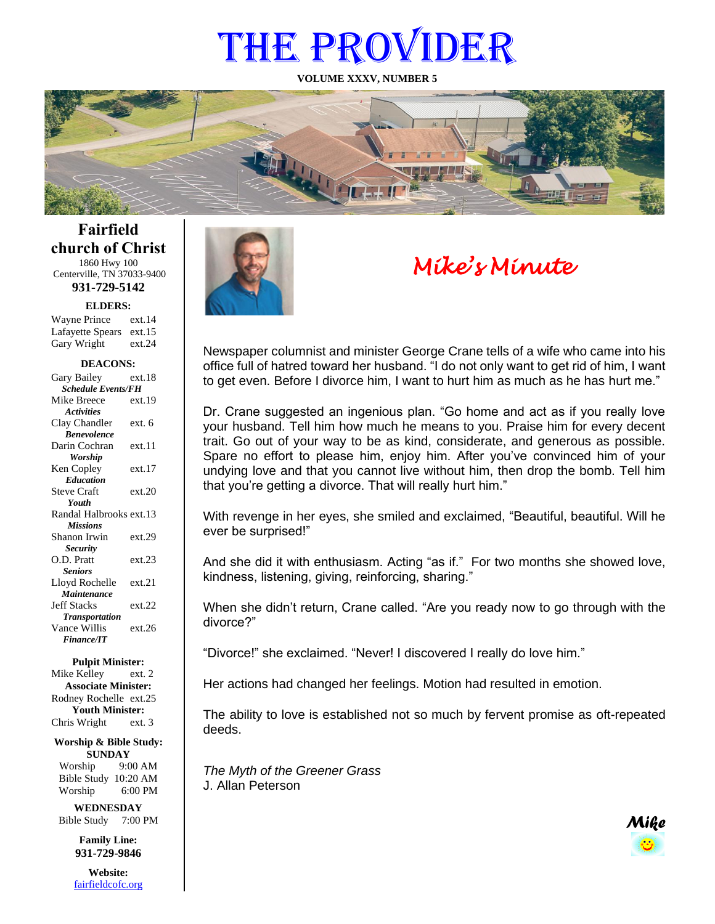# THE PROVIDER

**VOLUME XXXV, NUMBER 5**



# *Mike's Minute*

Newspaper columnist and minister George Crane tells of a wife who came into his office full of hatred toward her husband. "I do not only want to get rid of him, I want to get even. Before I divorce him, I want to hurt him as much as he has hurt me."

Dr. Crane suggested an ingenious plan. "Go home and act as if you really love your husband. Tell him how much he means to you. Praise him for every decent trait. Go out of your way to be as kind, considerate, and generous as possible. Spare no effort to please him, enjoy him. After you've convinced him of your undying love and that you cannot live without him, then drop the bomb. Tell him that you're getting a divorce. That will really hurt him."

With revenge in her eyes, she smiled and exclaimed, "Beautiful, beautiful. Will he ever be surprised!"

And she did it with enthusiasm. Acting "as if." For two months she showed love, kindness, listening, giving, reinforcing, sharing."

When she didn't return, Crane called. "Are you ready now to go through with the divorce?"

"Divorce!" she exclaimed. "Never! I discovered I really do love him."

Her actions had changed her feelings. Motion had resulted in emotion.

The ability to love is established not so much by fervent promise as oft-repeated deeds.

*The Myth of the Greener Grass* J. Allan Peterson

*Mike*

**Fairfield church of Christ** 1860 Hwy 100

Centerville, TN 37033-9400 **931-729-5142**

**ELDERS:**

Gary Wright ext.24 Wayne Prince ext.14 Lafayette Spears ext.15

#### **DEACONS:**

| ╯<br>enc<br>,,,,,,               |        |
|----------------------------------|--------|
| Gary Bailey                      | ext.18 |
| <b>Schedule Events/FH</b>        |        |
| Mike Breece                      | ext.19 |
| <b>Activities</b>                |        |
| Clay Chandler                    | ext. 6 |
| <b><i><u>Renevolence</u></i></b> |        |
| Darin Cochran                    | ext.11 |
| Worship                          |        |
| Ken Copley                       | ext.17 |
| <b>Education</b>                 |        |
| <b>Steve Craft</b>               | ext.20 |
| <b>Youth</b>                     |        |
| Randal Halbrooks ext.13          |        |
| <b>Missions</b>                  |        |
| Shanon Irwin                     | ext.29 |
| <b>Security</b>                  |        |
| O.D. Pratt                       | ext.23 |
| <b>Seniors</b>                   |        |
| Lloyd Rochelle                   | ext.21 |
| Maintenance                      |        |
| <b>Jeff Stacks</b>               | ext.22 |
| <b>Transportation</b>            |        |
| Vance Willis                     | ext.26 |
| <b>Finance/IT</b>                |        |
|                                  |        |

**Pulpit Minister:**

Mike Kelley ext. 2 **Associate Minister:** Rodney Rochelle ext.25 **Youth Minister:** Chris Wright ext. 3

**Worship & Bible Study: SUNDAY** Worship 9:00 AM

Bible Study 10:20 AM Worship 6:00 PM **WEDNESDAY**

Bible Study 7:00 PM

**Family Line: 931-729-9846**

**Website:** [fairfieldcofc.org](file:///C:/Users/RickJoyce/Documents/Fairfield%20Website%20Files/fairfieldchurchofchrist.org)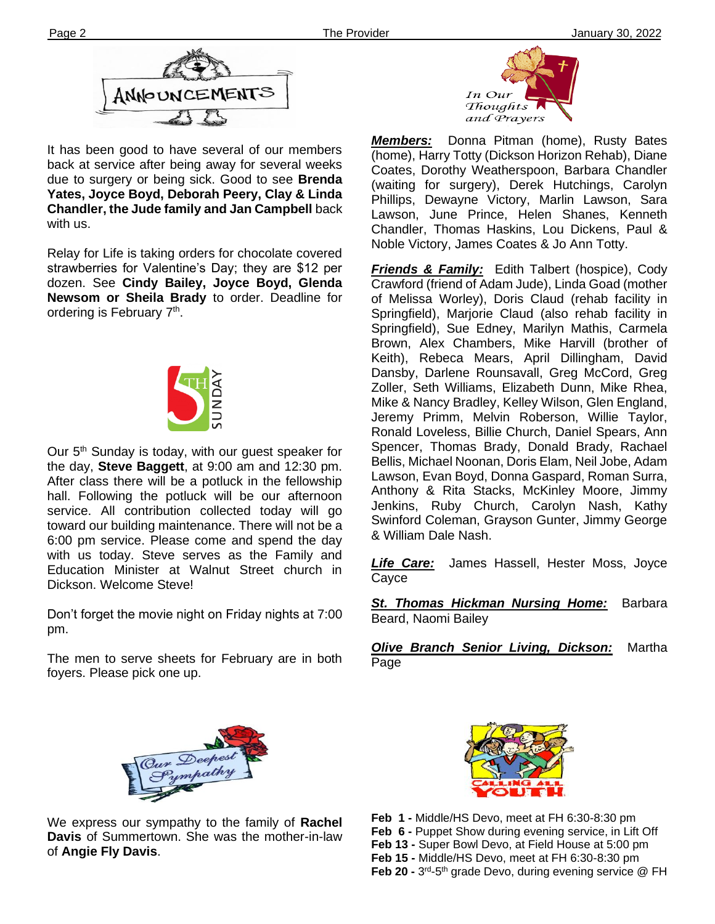

It has been good to have several of our members back at service after being away for several weeks due to surgery or being sick. Good to see **Brenda Yates, Joyce Boyd, Deborah Peery, Clay & Linda Chandler, the Jude family and Jan Campbell** back with us.

Relay for Life is taking orders for chocolate covered strawberries for Valentine's Day; they are \$12 per dozen. See **Cindy Bailey, Joyce Boyd, Glenda Newsom or Sheila Brady** to order. Deadline for ordering is February 7<sup>th</sup>.



Our 5<sup>th</sup> Sunday is today, with our quest speaker for the day, **Steve Baggett**, at 9:00 am and 12:30 pm. After class there will be a potluck in the fellowship hall. Following the potluck will be our afternoon service. All contribution collected today will go toward our building maintenance. There will not be a 6:00 pm service. Please come and spend the day with us today. Steve serves as the Family and Education Minister at Walnut Street church in Dickson. Welcome Steve!

Don't forget the movie night on Friday nights at 7:00 pm.

foyers. Please pick one up. The men to serve sheets for February are in both



*Members:* Donna Pitman (home), Rusty Bates (home), Harry Totty (Dickson Horizon Rehab), Diane Coates, Dorothy Weatherspoon, Barbara Chandler (waiting for surgery), Derek Hutchings, Carolyn Phillips, Dewayne Victory, Marlin Lawson, Sara Lawson, June Prince, Helen Shanes, Kenneth Chandler, Thomas Haskins, Lou Dickens, Paul & Noble Victory, James Coates & Jo Ann Totty.

*Friends & Family:* Edith Talbert (hospice), Cody Crawford (friend of Adam Jude), Linda Goad (mother of Melissa Worley), Doris Claud (rehab facility in Springfield), Marjorie Claud (also rehab facility in Springfield), Sue Edney, Marilyn Mathis, Carmela Brown, Alex Chambers, Mike Harvill (brother of Keith), Rebeca Mears, April Dillingham, David Dansby, Darlene Rounsavall, Greg McCord, Greg Zoller, Seth Williams, Elizabeth Dunn, Mike Rhea, Mike & Nancy Bradley, Kelley Wilson, Glen England, Jeremy Primm, Melvin Roberson, Willie Taylor, Ronald Loveless, Billie Church, Daniel Spears, Ann Spencer, Thomas Brady, Donald Brady, Rachael Bellis, Michael Noonan, Doris Elam, Neil Jobe, Adam Lawson, Evan Boyd, Donna Gaspard, Roman Surra, Anthony & Rita Stacks, McKinley Moore, Jimmy Jenkins, Ruby Church, Carolyn Nash, Kathy Swinford Coleman, Grayson Gunter, Jimmy George & William Dale Nash.

*Life Care:* James Hassell, Hester Moss, Joyce Cayce

*St. Thomas Hickman Nursing Home:* Barbara Beard, Naomi Bailey

*Olive Branch Senior Living, Dickson:* Martha Page



We express our sympathy to the family of **Rachel Davis** of Summertown. She was the mother-in-law of **Angie Fly Davis**.



- **Feb 1 -** Middle/HS Devo, meet at FH 6:30-8:30 pm
- **Feb 6 -** Puppet Show during evening service, in Lift Off
- **Feb 13 -** Super Bowl Devo, at Field House at 5:00 pm
- **Feb 15 -** Middle/HS Devo, meet at FH 6:30-8:30 pm
- Feb 20 3<sup>rd</sup>-5<sup>th</sup> grade Devo, during evening service @ FH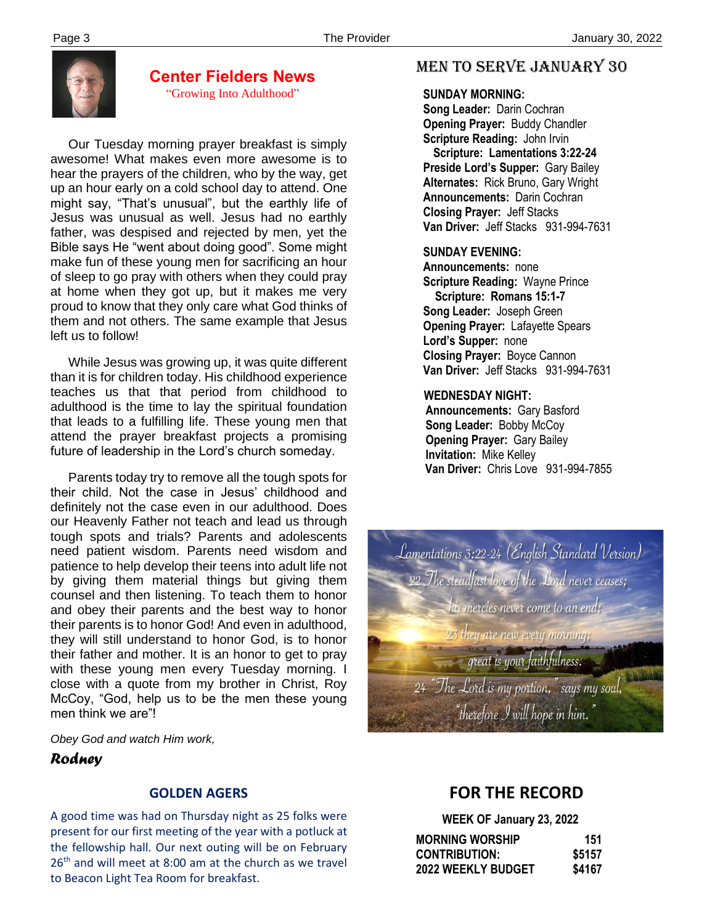

# **Center Fielders News**

"Growing Into Adulthood"

 Our Tuesday morning prayer breakfast is simply awesome! What makes even more awesome is to hear the prayers of the children, who by the way, get up an hour early on a cold school day to attend. One might say, "That's unusual", but the earthly life of Jesus was unusual as well. Jesus had no earthly father, was despised and rejected by men, yet the Bible says He "went about doing good". Some might make fun of these young men for sacrificing an hour of sleep to go pray with others when they could pray at home when they got up, but it makes me very proud to know that they only care what God thinks of them and not others. The same example that Jesus left us to follow!

 While Jesus was growing up, it was quite different than it is for children today. His childhood experience teaches us that that period from childhood to adulthood is the time to lay the spiritual foundation that leads to a fulfilling life. These young men that attend the prayer breakfast projects a promising future of leadership in the Lord's church someday.

 their father and mother. It is an honor to get to pray Parents today try to remove all the tough spots for their child. Not the case in Jesus' childhood and definitely not the case even in our adulthood. Does our Heavenly Father not teach and lead us through tough spots and trials? Parents and adolescents need patient wisdom. Parents need wisdom and patience to help develop their teens into adult life not by giving them material things but giving them counsel and then listening. To teach them to honor and obey their parents and the best way to honor their parents is to honor God! And even in adulthood, they will still understand to honor God, is to honor with these young men every Tuesday morning. I close with a quote from my brother in Christ, Roy McCoy, "God, help us to be the men these young men think we are"!

*Obey God and watch Him work,*

### *Rodney*

#### **GOLDEN AGERS**

 present for our first meeting of the year with a potluck at A good time was had on Thursday night as 25 folks were the fellowship hall. Our next outing will be on February 26<sup>th</sup> and will meet at 8:00 am at the church as we travel to Beacon Light Tea Room for breakfast.

# MEN TO SERVE January 30

#### **SUNDAY MORNING:**

**Song Leader:** Darin Cochran  **Opening Prayer:** Buddy Chandler **Scripture Reading:** John Irvin  **Scripture: Lamentations 3:22-24 Preside Lord's Supper:** Gary Bailey  **Alternates:** Rick Bruno, Gary Wright  **Announcements:** Darin Cochran  **Closing Prayer:** Jeff Stacks **Van Driver:** Jeff Stacks 931-994-7631

#### **SUNDAY EVENING:**

**Announcements:** none **Scripture Reading:** Wayne Prince  **Scripture: Romans 15:1-7 Song Leader:** Joseph Green **Opening Prayer:** Lafayette Spears **Lord's Supper:** none **Closing Prayer:** Boyce Cannon **Van Driver:** Jeff Stacks 931-994-7631

#### **WEDNESDAY NIGHT:**

**Announcements:** Gary Basford **Song Leader:** Bobby McCoy **Opening Prayer:** Gary Bailey **Invitation:** Mike Kelley  **Van Driver:** Chris Love 931-994-7855



# **FOR THE RECORD**

 **WEEK OF January 23, 2022 MORNING WORSHIP 151 CONTRIBUTION: \$5157 2022 WEEKLY BUDGET \$4167**